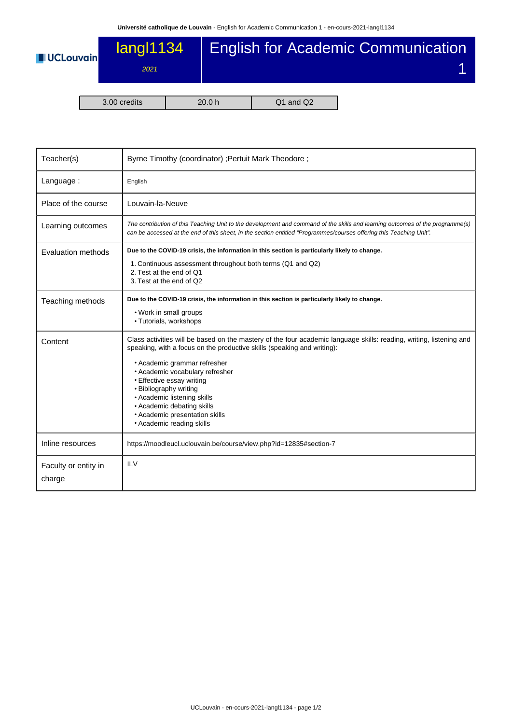

| 3.00 credits |  |
|--------------|--|
|--------------|--|

| Teacher(s)                     | Byrne Timothy (coordinator) ; Pertuit Mark Theodore ;                                                                                                                                                                                                                                                                                                                                                                                                |  |  |  |  |
|--------------------------------|------------------------------------------------------------------------------------------------------------------------------------------------------------------------------------------------------------------------------------------------------------------------------------------------------------------------------------------------------------------------------------------------------------------------------------------------------|--|--|--|--|
| Language:                      | English                                                                                                                                                                                                                                                                                                                                                                                                                                              |  |  |  |  |
| Place of the course            | Louvain-la-Neuve                                                                                                                                                                                                                                                                                                                                                                                                                                     |  |  |  |  |
| Learning outcomes              | The contribution of this Teaching Unit to the development and command of the skills and learning outcomes of the programme(s)<br>can be accessed at the end of this sheet, in the section entitled "Programmes/courses offering this Teaching Unit".                                                                                                                                                                                                 |  |  |  |  |
| Evaluation methods             | Due to the COVID-19 crisis, the information in this section is particularly likely to change.<br>1. Continuous assessment throughout both terms (Q1 and Q2)<br>2. Test at the end of Q1<br>3. Test at the end of Q2                                                                                                                                                                                                                                  |  |  |  |  |
| Teaching methods               | Due to the COVID-19 crisis, the information in this section is particularly likely to change.<br>• Work in small groups<br>• Tutorials, workshops                                                                                                                                                                                                                                                                                                    |  |  |  |  |
| Content                        | Class activities will be based on the mastery of the four academic language skills: reading, writing, listening and<br>speaking, with a focus on the productive skills (speaking and writing):<br>• Academic grammar refresher<br>• Academic vocabulary refresher<br>• Effective essay writing<br>• Bibliography writing<br>• Academic listening skills<br>• Academic debating skills<br>• Academic presentation skills<br>• Academic reading skills |  |  |  |  |
| Inline resources               | https://moodleucl.uclouvain.be/course/view.php?id=12835#section-7                                                                                                                                                                                                                                                                                                                                                                                    |  |  |  |  |
| Faculty or entity in<br>charge | <b>ILV</b>                                                                                                                                                                                                                                                                                                                                                                                                                                           |  |  |  |  |